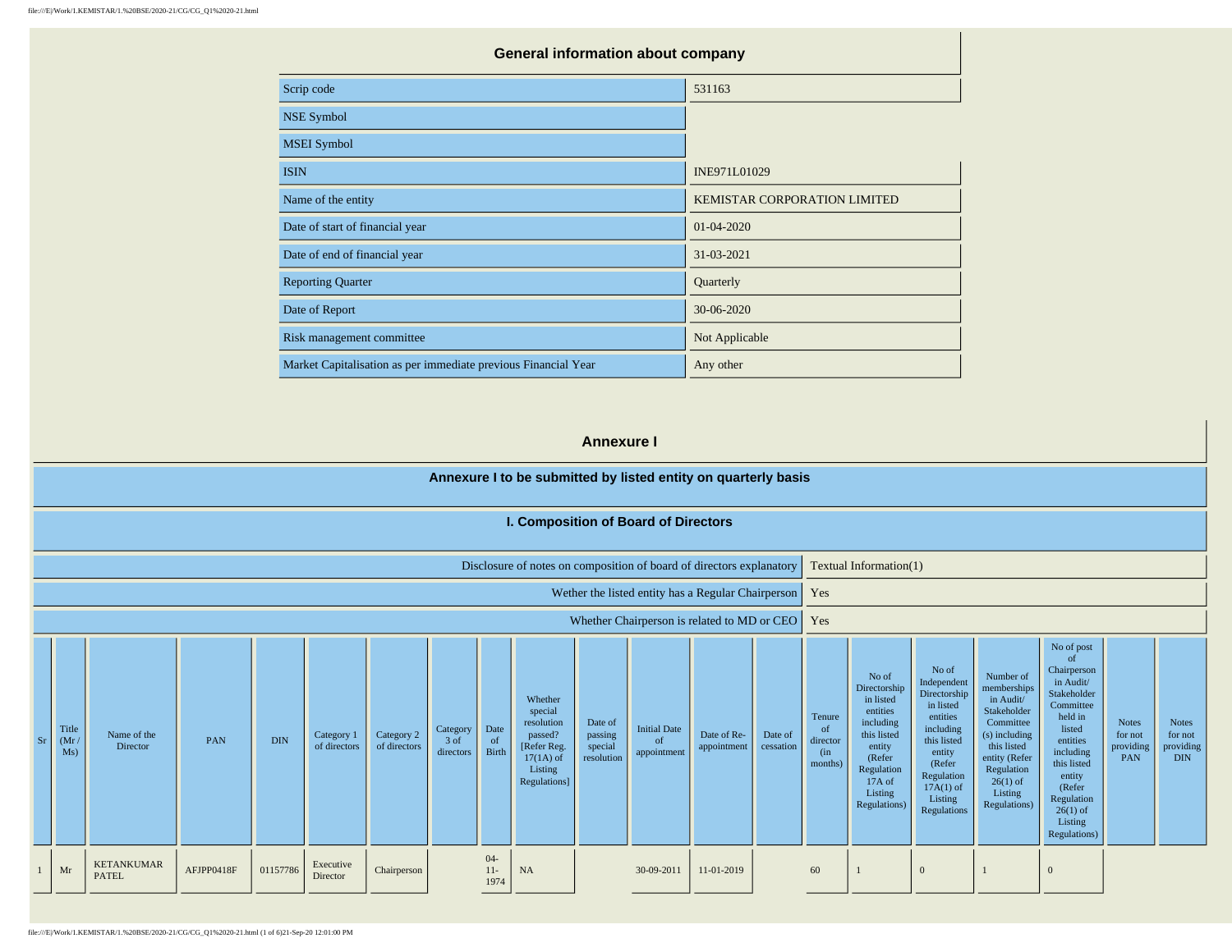| <b>General information about company</b>                       |                              |  |  |  |  |  |  |
|----------------------------------------------------------------|------------------------------|--|--|--|--|--|--|
| Scrip code                                                     | 531163                       |  |  |  |  |  |  |
| <b>NSE Symbol</b>                                              |                              |  |  |  |  |  |  |
| <b>MSEI</b> Symbol                                             |                              |  |  |  |  |  |  |
| <b>ISIN</b>                                                    | INE971L01029                 |  |  |  |  |  |  |
| Name of the entity                                             | KEMISTAR CORPORATION LIMITED |  |  |  |  |  |  |
| Date of start of financial year                                | 01-04-2020                   |  |  |  |  |  |  |
| Date of end of financial year                                  | 31-03-2021                   |  |  |  |  |  |  |
| <b>Reporting Quarter</b>                                       | Quarterly                    |  |  |  |  |  |  |
| Date of Report                                                 | 30-06-2020                   |  |  |  |  |  |  |
| Risk management committee                                      | Not Applicable               |  |  |  |  |  |  |
| Market Capitalisation as per immediate previous Financial Year | Any other                    |  |  |  |  |  |  |

#### **Annexure I**

#### **Annexure I to be submitted by listed entity on quarterly basis I. Composition of Board of Directors** Disclosure of notes on composition of board of directors explanatory  $\vert$  Textual Information(1) Wether the listed entity has a Regular Chairperson | Yes Whether Chairperson is related to MD or CEO | Yes Sr Title  $(Mr)$ Ms) Name of the<br>Director ame of the **PAN** DIN Category 1 **DIN** Category 1 **O** Category 2 of directors **Category** 3 of directors Date of Birth Whether special resolution passed? [Refer Reg.  $17(1A)$  of Listing Regulations] Date of passing special resolution Initial Date of appointment Date of Reappointment Date of cessation Tenure of director (in months) No of Directorship in listed entities including this listed entity (Refer Regulation 17A of Listing Regulations) No of Independent Directorship in listed entities including this listed entity (Refer Regulation  $17A(1)$  of Listing Regulations Number of memberships in Audit/ Stakeholder Committee (s) including this listed entity (Refer Regulation  $26(1)$  of Listing Regulations) No of post of Chairperson in Audit/ Stakeholder Committee held in listed entities including this listed entity (Refer Regulation  $26(1)$  of Listing Regulations) Notes for not providing PAN Notes for not providing DIN  $1$  Mr KETANKUMAR  $AFJPP0418F$  01157786 Executive Chairperson 04- 11- 1974 NA 30-09-2011 11-01-2019 60 1 0 1 0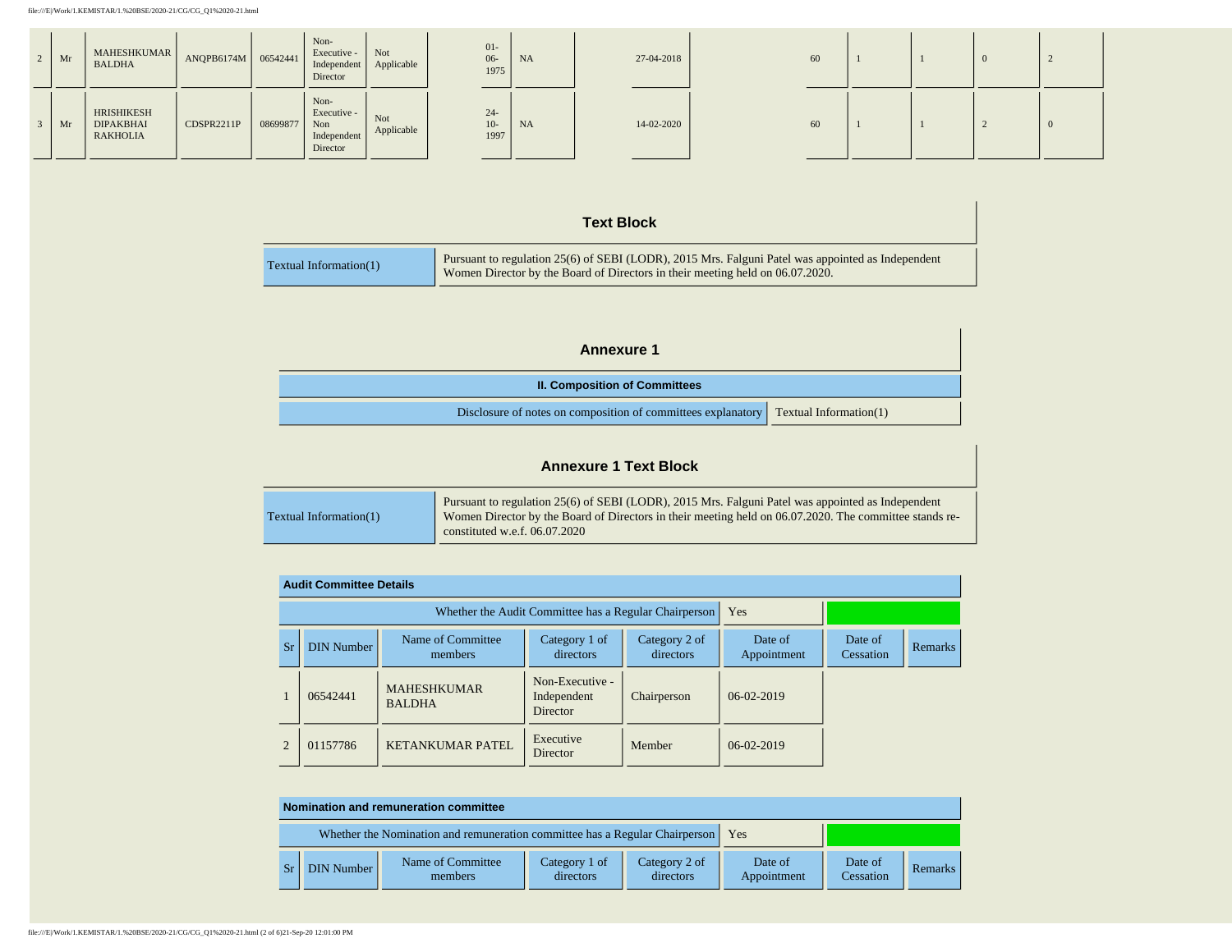| $2 \mid Mr$ | MAHESHKUMAR<br><b>BALDHA</b>                      | ANQPB6174M   06542441 |          | Non-<br>Executive -<br>Independent<br>Director        | Not<br>Applicable | $01-$<br>$06 -$<br>1975 | <b>NA</b> | 27-04-2018 | 60 |  | 0 |  |
|-------------|---------------------------------------------------|-----------------------|----------|-------------------------------------------------------|-------------------|-------------------------|-----------|------------|----|--|---|--|
| $\vert$ Mr  | HRISHIKESH<br><b>DIPAKBHAI</b><br><b>RAKHOLIA</b> | CDSPR2211P            | 08699877 | Non-<br>Executive -<br>Non<br>Independent<br>Director | Not<br>Applicable | $24-$<br>$10-$<br>1997  | <b>NA</b> | 14-02-2020 | 60 |  |   |  |

### **Text Block**

| Textual Information(1) | Pursuant to regulation 25(6) of SEBI (LODR), 2015 Mrs. Falguni Patel was appointed as Independent<br>Women Director by the Board of Directors in their meeting held on 06.07.2020. |
|------------------------|------------------------------------------------------------------------------------------------------------------------------------------------------------------------------------|

| <b>Annexure 1</b>                                            |                        |  |  |  |  |
|--------------------------------------------------------------|------------------------|--|--|--|--|
| <b>II. Composition of Committees</b>                         |                        |  |  |  |  |
| Disclosure of notes on composition of committees explanatory | Textual Information(1) |  |  |  |  |

# **Annexure 1 Text Block**

| Textual Information(1) | Pursuant to regulation 25(6) of SEBI (LODR), 2015 Mrs. Falguni Patel was appointed as Independent<br>Women Director by the Board of Directors in their meeting held on 06.07.2020. The committee stands re- |
|------------------------|-------------------------------------------------------------------------------------------------------------------------------------------------------------------------------------------------------------|
|                        | constituted w.e.f. $06.07.2020$                                                                                                                                                                             |

|                | <b>Audit Committee Details</b> |                                                       |                                                   |                            |                        |                      |                |  |  |  |
|----------------|--------------------------------|-------------------------------------------------------|---------------------------------------------------|----------------------------|------------------------|----------------------|----------------|--|--|--|
|                |                                | Whether the Audit Committee has a Regular Chairperson | Yes                                               |                            |                        |                      |                |  |  |  |
| Sr             | <b>DIN Number</b>              | Name of Committee<br>members                          | Category 1 of<br>directors                        | Category 2 of<br>directors | Date of<br>Appointment | Date of<br>Cessation | <b>Remarks</b> |  |  |  |
|                | 06542441                       | <b>MAHESHKUMAR</b><br><b>BALDHA</b>                   | Non-Executive -<br>Independent<br><b>Director</b> | Chairperson                | $06-02-2019$           |                      |                |  |  |  |
| $\mathfrak{D}$ | 01157786                       | <b>KETANKUMAR PATEL</b>                               | Executive<br>Director                             | Member                     | $06-02-2019$           |                      |                |  |  |  |

| Nomination and remuneration committee |                                                                                   |                            |                            |                        |                      |         |  |  |
|---------------------------------------|-----------------------------------------------------------------------------------|----------------------------|----------------------------|------------------------|----------------------|---------|--|--|
|                                       | Whether the Nomination and remuneration committee has a Regular Chairperson   Yes |                            |                            |                        |                      |         |  |  |
| DIN Number                            | Name of Committee<br>members                                                      | Category 1 of<br>directors | Category 2 of<br>directors | Date of<br>Appointment | Date of<br>Cessation | Remarks |  |  |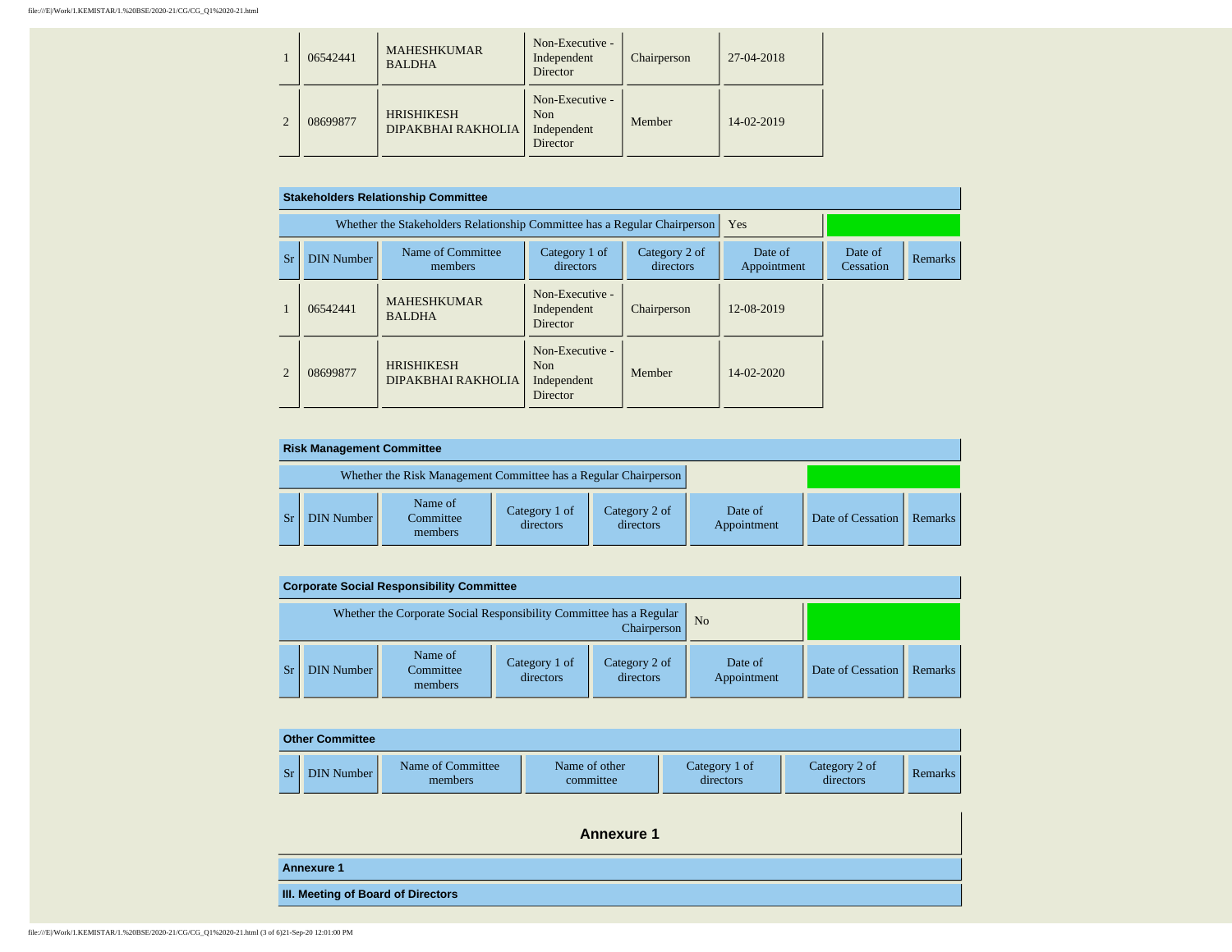|   | 06542441 | <b>MAHESHKUMAR</b><br><b>BALDHA</b>     | Non-Executive -<br>Independent<br>Director        | Chairperson | 27-04-2018 |  |
|---|----------|-----------------------------------------|---------------------------------------------------|-------------|------------|--|
| 2 | 08699877 | <b>HRISHIKESH</b><br>DIPAKBHAI RAKHOLIA | Non-Executive -<br>Non<br>Independent<br>Director | Member      | 14-02-2019 |  |

|                       | <b>Stakeholders Relationship Committee</b>                                                                    |                                                                           |                                                               |                        |                      |                |  |  |  |  |
|-----------------------|---------------------------------------------------------------------------------------------------------------|---------------------------------------------------------------------------|---------------------------------------------------------------|------------------------|----------------------|----------------|--|--|--|--|
|                       |                                                                                                               | Whether the Stakeholders Relationship Committee has a Regular Chairperson |                                                               |                        | Yes                  |                |  |  |  |  |
| Sr                    | Name of Committee<br>Category 1 of<br>Category 2 of<br><b>DIN Number</b><br>directors<br>directors<br>members |                                                                           |                                                               | Date of<br>Appointment | Date of<br>Cessation | <b>Remarks</b> |  |  |  |  |
|                       | 06542441                                                                                                      | <b>MAHESHKUMAR</b><br><b>BALDHA</b>                                       | Non-Executive -<br>Independent<br><b>Director</b>             | Chairperson            | 12-08-2019           |                |  |  |  |  |
| $\mathcal{D}_{\cdot}$ | 08699877                                                                                                      | <b>HRISHIKESH</b><br>DIPAKBHAI RAKHOLIA                                   | Non-Executive -<br>N <sub>on</sub><br>Independent<br>Director | Member                 | $14 - 02 - 2020$     |                |  |  |  |  |

| <b>Risk Management Committee</b> |                                                                 |                            |                            |                        |                   |                |  |  |
|----------------------------------|-----------------------------------------------------------------|----------------------------|----------------------------|------------------------|-------------------|----------------|--|--|
|                                  | Whether the Risk Management Committee has a Regular Chairperson |                            |                            |                        |                   |                |  |  |
| <b>DIN Number</b>                | Name of<br>Committee<br>members                                 | Category 1 of<br>directors | Category 2 of<br>directors | Date of<br>Appointment | Date of Cessation | <b>Remarks</b> |  |  |

|                                                                                    | <b>Corporate Social Responsibility Committee</b> |                                 |                            |                            |                        |                   |         |  |  |  |
|------------------------------------------------------------------------------------|--------------------------------------------------|---------------------------------|----------------------------|----------------------------|------------------------|-------------------|---------|--|--|--|
| Whether the Corporate Social Responsibility Committee has a Regular<br>Chairperson |                                                  |                                 |                            | N <sub>o</sub>             |                        |                   |         |  |  |  |
| Sr                                                                                 | <b>DIN Number</b>                                | Name of<br>Committee<br>members | Category 1 of<br>directors | Category 2 of<br>directors | Date of<br>Appointment | Date of Cessation | Remarks |  |  |  |

|    | <b>Other Committee</b> |                              |                            |                            |                            |                |
|----|------------------------|------------------------------|----------------------------|----------------------------|----------------------------|----------------|
| Sr | DIN Number             | Name of Committee<br>members | Name of other<br>committee | Category 1 of<br>directors | Category 2 of<br>directors | <b>Remarks</b> |

| <b>Annexure 1</b>                  |
|------------------------------------|
| <b>Annexure 1</b>                  |
| III. Meeting of Board of Directors |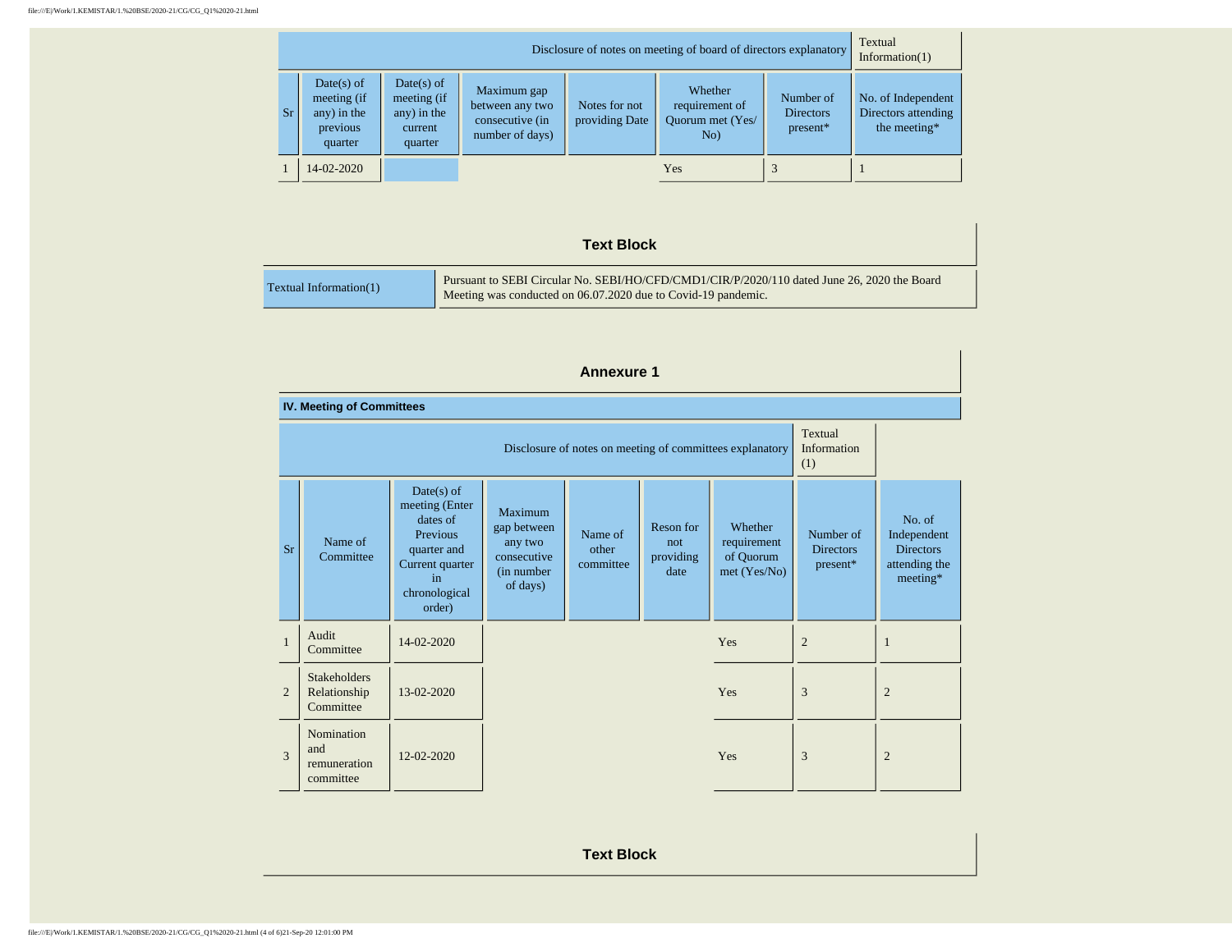| Disclosure of notes on meeting of board of directors explanatory |                                                                   |                                                                  |                                                                      |                                 |                                                      | Textual<br>Information $(1)$              |                                                           |
|------------------------------------------------------------------|-------------------------------------------------------------------|------------------------------------------------------------------|----------------------------------------------------------------------|---------------------------------|------------------------------------------------------|-------------------------------------------|-----------------------------------------------------------|
| <b>Sr</b>                                                        | $Date(s)$ of<br>meeting (if<br>any) in the<br>previous<br>quarter | $Date(s)$ of<br>meeting (if<br>any) in the<br>current<br>quarter | Maximum gap<br>between any two<br>consecutive (in<br>number of days) | Notes for not<br>providing Date | Whether<br>requirement of<br>Ouorum met (Yes/<br>No) | Number of<br><b>Directors</b><br>present* | No. of Independent<br>Directors attending<br>the meeting* |
|                                                                  | 14-02-2020                                                        |                                                                  |                                                                      |                                 | Yes                                                  |                                           |                                                           |

### **Text Block**

|                        | Pursuant to SEBI Circular No. SEBI/HO/CFD/CMD1/CIR/P/2020/110 dated June 26, 2020 the Board |
|------------------------|---------------------------------------------------------------------------------------------|
| Textual Information(1) | Meeting was conducted on 06.07.2020 due to Covid-19 pandemic.                               |

|                          | <b>Annexure 1</b>                                                                         |                                                                                                                           |                                                                             |                               |                                       |                                                     |                                           |                                                                        |
|--------------------------|-------------------------------------------------------------------------------------------|---------------------------------------------------------------------------------------------------------------------------|-----------------------------------------------------------------------------|-------------------------------|---------------------------------------|-----------------------------------------------------|-------------------------------------------|------------------------------------------------------------------------|
|                          | <b>IV. Meeting of Committees</b>                                                          |                                                                                                                           |                                                                             |                               |                                       |                                                     |                                           |                                                                        |
|                          | Textual<br>Information<br>Disclosure of notes on meeting of committees explanatory<br>(1) |                                                                                                                           |                                                                             |                               |                                       |                                                     |                                           |                                                                        |
| <b>Sr</b>                | Name of<br>Committee                                                                      | $Date(s)$ of<br>meeting (Enter<br>dates of<br>Previous<br>quarter and<br>Current quarter<br>in<br>chronological<br>order) | Maximum<br>gap between<br>any two<br>consecutive<br>(in number)<br>of days) | Name of<br>other<br>committee | Reson for<br>not<br>providing<br>date | Whether<br>requirement<br>of Quorum<br>met (Yes/No) | Number of<br><b>Directors</b><br>present* | No. of<br>Independent<br><b>Directors</b><br>attending the<br>meeting* |
| $\mathbf{1}$             | Audit<br>Committee                                                                        | 14-02-2020                                                                                                                |                                                                             |                               |                                       | Yes                                                 | $\overline{2}$                            | 1                                                                      |
| $\mathfrak{D}$           | <b>Stakeholders</b><br>Relationship<br>Committee                                          | 13-02-2020                                                                                                                |                                                                             |                               |                                       | Yes                                                 | 3                                         | $\overline{2}$                                                         |
| $\overline{\mathcal{E}}$ | Nomination<br>and<br>remuneration<br>committee                                            | $12 - 02 - 2020$                                                                                                          |                                                                             |                               |                                       | Yes                                                 | 3                                         | $\overline{2}$                                                         |

**Text Block**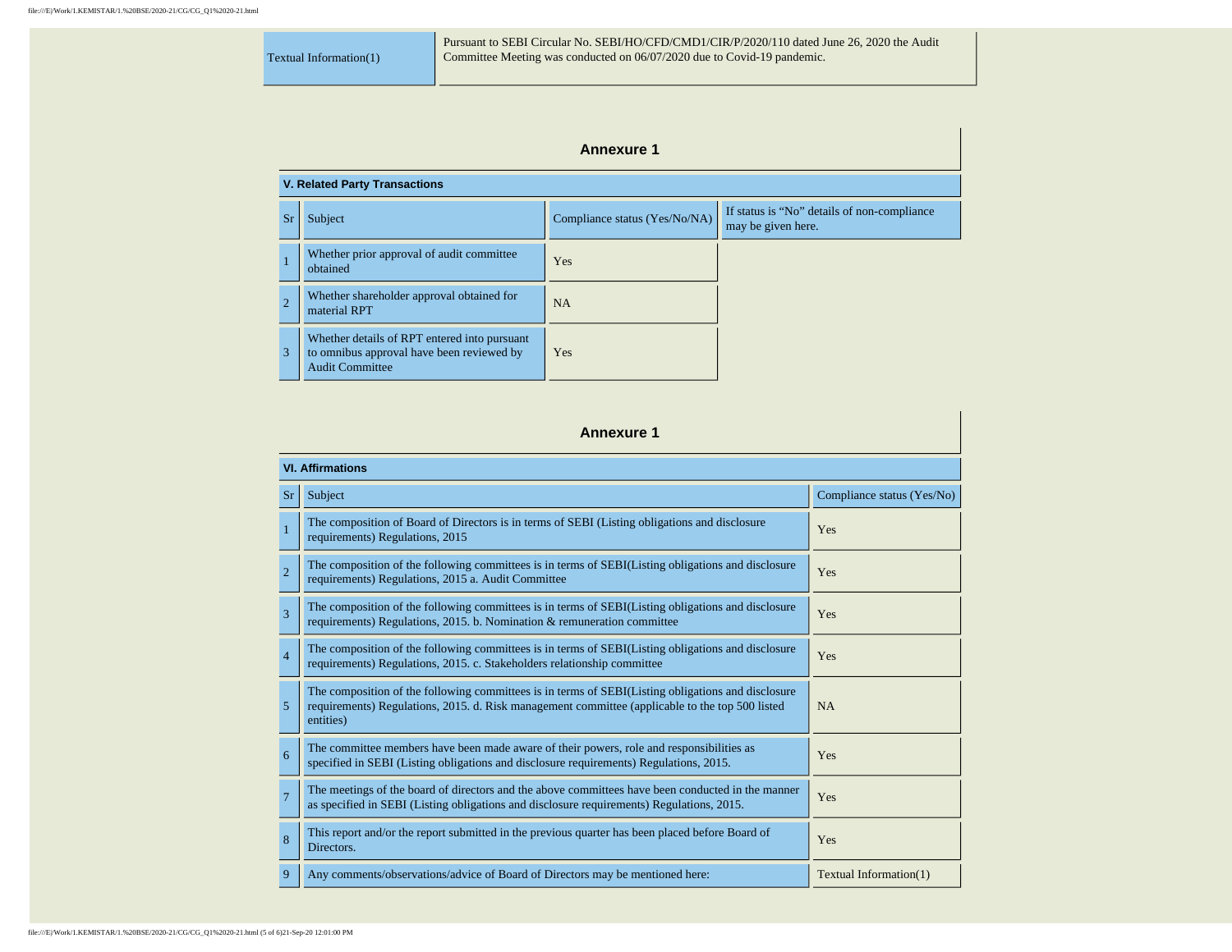Textual Information(1)

Pursuant to SEBI Circular No. SEBI/HO/CFD/CMD1/CIR/P/2020/110 dated June 26, 2020 the Audit Committee Meeting was conducted on 06/07/2020 due to Covid-19 pandemic.

## **Annexure 1**

| <b>V. Related Party Transactions</b> |                                                                                                                     |                               |                                                                   |  |  |
|--------------------------------------|---------------------------------------------------------------------------------------------------------------------|-------------------------------|-------------------------------------------------------------------|--|--|
| Sr                                   | Subject                                                                                                             | Compliance status (Yes/No/NA) | If status is "No" details of non-compliance<br>may be given here. |  |  |
|                                      | Whether prior approval of audit committee<br>obtained                                                               | Yes                           |                                                                   |  |  |
| $\overline{2}$                       | Whether shareholder approval obtained for<br>material RPT                                                           | <b>NA</b>                     |                                                                   |  |  |
| 3                                    | Whether details of RPT entered into pursuant<br>to omnibus approval have been reviewed by<br><b>Audit Committee</b> | Yes                           |                                                                   |  |  |

**Annexure 1**

|                | <b>VI. Affirmations</b>                                                                                                                                                                                            |                            |  |  |  |  |
|----------------|--------------------------------------------------------------------------------------------------------------------------------------------------------------------------------------------------------------------|----------------------------|--|--|--|--|
| <b>Sr</b>      | Subject                                                                                                                                                                                                            | Compliance status (Yes/No) |  |  |  |  |
| $\mathbf{1}$   | The composition of Board of Directors is in terms of SEBI (Listing obligations and disclosure<br>requirements) Regulations, 2015                                                                                   | Yes                        |  |  |  |  |
| $\overline{2}$ | The composition of the following committees is in terms of SEBI(Listing obligations and disclosure<br>requirements) Regulations, 2015 a. Audit Committee                                                           | Yes                        |  |  |  |  |
| $\overline{3}$ | The composition of the following committees is in terms of SEBI(Listing obligations and disclosure<br>requirements) Regulations, 2015. b. Nomination & remuneration committee                                      | Yes                        |  |  |  |  |
| $\overline{4}$ | The composition of the following committees is in terms of SEBI(Listing obligations and disclosure<br>requirements) Regulations, 2015. c. Stakeholders relationship committee                                      | Yes                        |  |  |  |  |
| 5              | The composition of the following committees is in terms of SEBI(Listing obligations and disclosure<br>requirements) Regulations, 2015. d. Risk management committee (applicable to the top 500 listed<br>entities) | <b>NA</b>                  |  |  |  |  |
| 6              | The committee members have been made aware of their powers, role and responsibilities as<br>specified in SEBI (Listing obligations and disclosure requirements) Regulations, 2015.                                 | Yes                        |  |  |  |  |
| $\overline{7}$ | The meetings of the board of directors and the above committees have been conducted in the manner<br>as specified in SEBI (Listing obligations and disclosure requirements) Regulations, 2015.                     | Yes                        |  |  |  |  |
| 8              | This report and/or the report submitted in the previous quarter has been placed before Board of<br>Directors.                                                                                                      | Yes                        |  |  |  |  |
| 9              | Any comments/observations/advice of Board of Directors may be mentioned here:                                                                                                                                      | Textual Information(1)     |  |  |  |  |